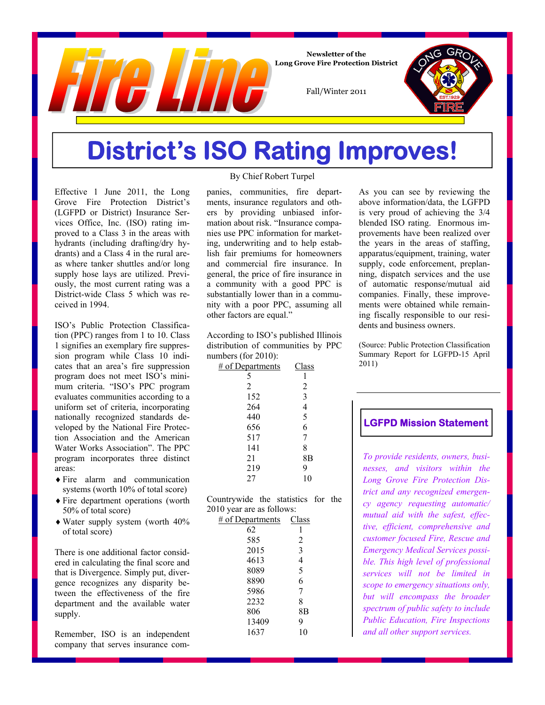

**Newsletter of the Long Grove Fire Protection District** 

Fall/Winter 2011

## **District's ISO Rating Improves!**

Effective 1 June 2011, the Long Grove Fire Protection District's (LGFPD or District) Insurance Services Office, Inc. (ISO) rating improved to a Class 3 in the areas with hydrants (including drafting/dry hydrants) and a Class 4 in the rural areas where tanker shuttles and/or long supply hose lays are utilized. Previously, the most current rating was a District-wide Class 5 which was received in 1994.

ISO's Public Protection Classification (PPC) ranges from 1 to 10. Class 1 signifies an exemplary fire suppression program while Class 10 indicates that an area's fire suppression program does not meet ISO's minimum criteria. "ISO's PPC program evaluates communities according to a uniform set of criteria, incorporating nationally recognized standards developed by the National Fire Protection Association and the American Water Works Association". The PPC program incorporates three distinct areas:

- Fire alarm and communication systems (worth 10% of total score)
- Fire department operations (worth 50% of total score)
- Water supply system (worth 40% of total score)

There is one additional factor considered in calculating the final score and that is Divergence. Simply put, divergence recognizes any disparity between the effectiveness of the fire department and the available water supply.

Remember, ISO is an independent company that serves insurance com-

### By Chief Robert Turpel

panies, communities, fire departments, insurance regulators and others by providing unbiased information about risk. "Insurance companies use PPC information for marketing, underwriting and to help establish fair premiums for homeowners and commercial fire insurance. In general, the price of fire insurance in a community with a good PPC is substantially lower than in a community with a poor PPC, assuming all other factors are equal."

According to ISO's published Illinois distribution of communities by PPC numbers (for 2010):

| Class          |
|----------------|
|                |
| $\overline{c}$ |
| 3              |
| 4              |
| 5              |
| -<br>6         |
| 7              |
| 8              |
| 8Β             |
| 9              |
| 10             |
|                |

Countrywide the statistics for the 2010 year are as follows:

| $\sim$ $J$       |       |  |
|------------------|-------|--|
| # of Departments | Class |  |
| 62               |       |  |
| 585              | 2     |  |
| 2015             | 3     |  |
| 4613             | 4     |  |
| 8089             | 5     |  |
| 8890             | 6     |  |
| 5986             | 7     |  |
| 2232             | 8     |  |
| 806              | 8Β    |  |
| 13409            | 9     |  |
| 1637             | 10    |  |
|                  |       |  |

As you can see by reviewing the above information/data, the LGFPD is very proud of achieving the 3/4 blended ISO rating. Enormous improvements have been realized over the years in the areas of staffing, apparatus/equipment, training, water supply, code enforcement, preplanning, dispatch services and the use of automatic response/mutual aid companies. Finally, these improvements were obtained while remaining fiscally responsible to our residents and business owners.

(Source: Public Protection Classification Summary Report for LGFPD-15 April 2011)

### **LGFPD Mission Statement**

*To provide residents, owners, businesses, and visitors within the Long Grove Fire Protection District and any recognized emergency agency requesting automatic/ mutual aid with the safest, effective, efficient, comprehensive and customer focused Fire, Rescue and Emergency Medical Services possible. This high level of professional services will not be limited in scope to emergency situations only, but will encompass the broader spectrum of public safety to include Public Education, Fire Inspections and all other support services.*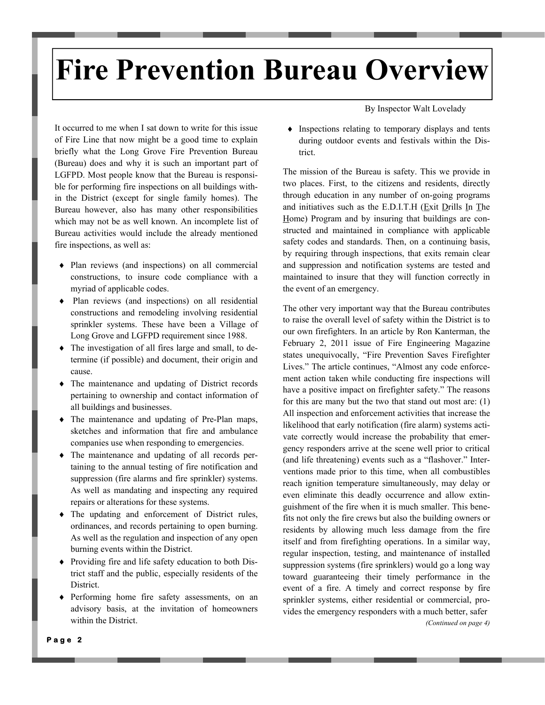# **Fire Prevention Bureau Overview**

It occurred to me when I sat down to write for this issue of Fire Line that now might be a good time to explain briefly what the Long Grove Fire Prevention Bureau (Bureau) does and why it is such an important part of LGFPD. Most people know that the Bureau is responsible for performing fire inspections on all buildings within the District (except for single family homes). The Bureau however, also has many other responsibilities which may not be as well known. An incomplete list of Bureau activities would include the already mentioned fire inspections, as well as:

- Plan reviews (and inspections) on all commercial constructions, to insure code compliance with a myriad of applicable codes.
- Plan reviews (and inspections) on all residential constructions and remodeling involving residential sprinkler systems. These have been a Village of Long Grove and LGFPD requirement since 1988.
- The investigation of all fires large and small, to determine (if possible) and document, their origin and cause.
- The maintenance and updating of District records pertaining to ownership and contact information of all buildings and businesses.
- The maintenance and updating of Pre-Plan maps, sketches and information that fire and ambulance companies use when responding to emergencies.
- The maintenance and updating of all records pertaining to the annual testing of fire notification and suppression (fire alarms and fire sprinkler) systems. As well as mandating and inspecting any required repairs or alterations for these systems.
- The updating and enforcement of District rules, ordinances, and records pertaining to open burning. As well as the regulation and inspection of any open burning events within the District.
- Providing fire and life safety education to both District staff and the public, especially residents of the District.
- Performing home fire safety assessments, on an advisory basis, at the invitation of homeowners within the District.

By Inspector Walt Lovelady

 $\bullet$  Inspections relating to temporary displays and tents during outdoor events and festivals within the District.

The mission of the Bureau is safety. This we provide in two places. First, to the citizens and residents, directly through education in any number of on-going programs and initiatives such as the E.D.I.T.H (Exit Drills In The Home) Program and by insuring that buildings are constructed and maintained in compliance with applicable safety codes and standards. Then, on a continuing basis, by requiring through inspections, that exits remain clear and suppression and notification systems are tested and maintained to insure that they will function correctly in the event of an emergency.

The other very important way that the Bureau contributes to raise the overall level of safety within the District is to our own firefighters. In an article by Ron Kanterman, the February 2, 2011 issue of Fire Engineering Magazine states unequivocally, "Fire Prevention Saves Firefighter Lives." The article continues, "Almost any code enforcement action taken while conducting fire inspections will have a positive impact on firefighter safety." The reasons for this are many but the two that stand out most are: (1) All inspection and enforcement activities that increase the likelihood that early notification (fire alarm) systems activate correctly would increase the probability that emergency responders arrive at the scene well prior to critical (and life threatening) events such as a "flashover." Interventions made prior to this time, when all combustibles reach ignition temperature simultaneously, may delay or even eliminate this deadly occurrence and allow extinguishment of the fire when it is much smaller. This benefits not only the fire crews but also the building owners or residents by allowing much less damage from the fire itself and from firefighting operations. In a similar way, regular inspection, testing, and maintenance of installed suppression systems (fire sprinklers) would go a long way toward guaranteeing their timely performance in the event of a fire. A timely and correct response by fire sprinkler systems, either residential or commercial, provides the emergency responders with a much better, safer *(Continued on page 4)*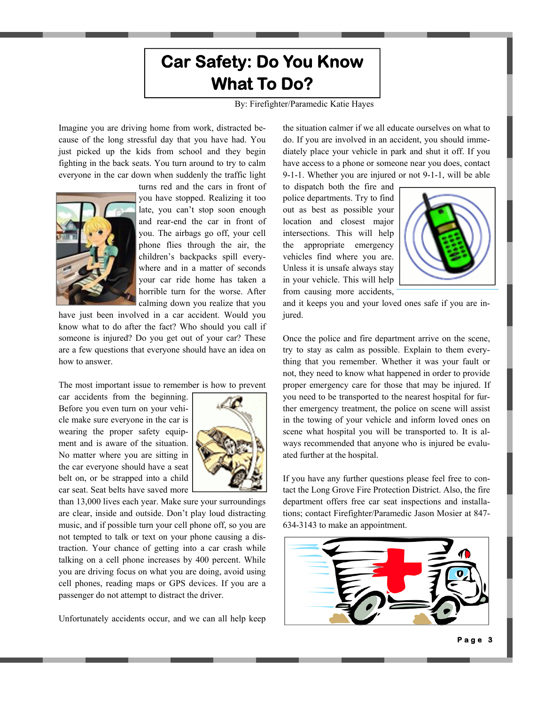### **Car Safety: Do You Know What To Do?**

By: Firefighter/Paramedic Katie Hayes

Imagine you are driving home from work, distracted because of the long stressful day that you have had. You just picked up the kids from school and they begin fighting in the back seats. You turn around to try to calm everyone in the car down when suddenly the traffic light



turns red and the cars in front of you have stopped. Realizing it too late, you can't stop soon enough and rear-end the car in front of you. The airbags go off, your cell phone flies through the air, the children's backpacks spill everywhere and in a matter of seconds your car ride home has taken a horrible turn for the worse. After calming down you realize that you

have just been involved in a car accident. Would you know what to do after the fact? Who should you call if someone is injured? Do you get out of your car? These are a few questions that everyone should have an idea on how to answer.

The most important issue to remember is how to prevent

car accidents from the beginning. Before you even turn on your vehicle make sure everyone in the car is wearing the proper safety equipment and is aware of the situation. No matter where you are sitting in the car everyone should have a seat belt on, or be strapped into a child car seat. Seat belts have saved more



than 13,000 lives each year. Make sure your surroundings are clear, inside and outside. Don't play loud distracting music, and if possible turn your cell phone off, so you are not tempted to talk or text on your phone causing a distraction. Your chance of getting into a car crash while talking on a cell phone increases by 400 percent. While you are driving focus on what you are doing, avoid using cell phones, reading maps or GPS devices. If you are a passenger do not attempt to distract the driver.

Unfortunately accidents occur, and we can all help keep

the situation calmer if we all educate ourselves on what to do. If you are involved in an accident, you should immediately place your vehicle in park and shut it off. If you have access to a phone or someone near you does, contact 9-1-1. Whether you are injured or not 9-1-1, will be able

to dispatch both the fire and police departments. Try to find out as best as possible your location and closest major intersections. This will help the appropriate emergency vehicles find where you are. Unless it is unsafe always stay in your vehicle. This will help from causing more accidents,



and it keeps you and your loved ones safe if you are injured.

Once the police and fire department arrive on the scene, try to stay as calm as possible. Explain to them everything that you remember. Whether it was your fault or not, they need to know what happened in order to provide proper emergency care for those that may be injured. If you need to be transported to the nearest hospital for further emergency treatment, the police on scene will assist in the towing of your vehicle and inform loved ones on scene what hospital you will be transported to. It is always recommended that anyone who is injured be evaluated further at the hospital.

If you have any further questions please feel free to contact the Long Grove Fire Protection District. Also, the fire department offers free car seat inspections and installations; contact Firefighter/Paramedic Jason Mosier at 847- 634-3143 to make an appointment.

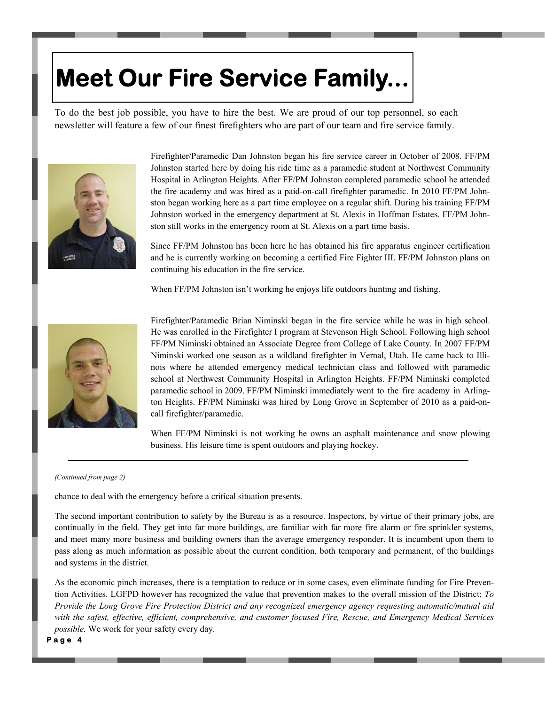# **Meet Our Fire Service Family...**

To do the best job possible, you have to hire the best. We are proud of our top personnel, so each newsletter will feature a few of our finest firefighters who are part of our team and fire service family.



Firefighter/Paramedic Dan Johnston began his fire service career in October of 2008. FF/PM Johnston started here by doing his ride time as a paramedic student at Northwest Community Hospital in Arlington Heights. After FF/PM Johnston completed paramedic school he attended the fire academy and was hired as a paid-on-call firefighter paramedic. In 2010 FF/PM Johnston began working here as a part time employee on a regular shift. During his training FF/PM Johnston worked in the emergency department at St. Alexis in Hoffman Estates. FF/PM Johnston still works in the emergency room at St. Alexis on a part time basis.

Since FF/PM Johnston has been here he has obtained his fire apparatus engineer certification and he is currently working on becoming a certified Fire Fighter III. FF/PM Johnston plans on continuing his education in the fire service.

When FF/PM Johnston isn't working he enjoys life outdoors hunting and fishing.



Firefighter/Paramedic Brian Niminski began in the fire service while he was in high school. He was enrolled in the Firefighter I program at Stevenson High School. Following high school FF/PM Niminski obtained an Associate Degree from College of Lake County. In 2007 FF/PM Niminski worked one season as a wildland firefighter in Vernal, Utah. He came back to Illinois where he attended emergency medical technician class and followed with paramedic school at Northwest Community Hospital in Arlington Heights. FF/PM Niminski completed paramedic school in 2009. FF/PM Niminski immediately went to the fire academy in Arlington Heights. FF/PM Niminski was hired by Long Grove in September of 2010 as a paid-oncall firefighter/paramedic.

When FF/PM Niminski is not working he owns an asphalt maintenance and snow plowing business. His leisure time is spent outdoors and playing hockey.

#### *(Continued from page 2)*

chance to deal with the emergency before a critical situation presents.

The second important contribution to safety by the Bureau is as a resource. Inspectors, by virtue of their primary jobs, are continually in the field. They get into far more buildings, are familiar with far more fire alarm or fire sprinkler systems, and meet many more business and building owners than the average emergency responder. It is incumbent upon them to pass along as much information as possible about the current condition, both temporary and permanent, of the buildings and systems in the district.

As the economic pinch increases, there is a temptation to reduce or in some cases, even eliminate funding for Fire Prevention Activities. LGFPD however has recognized the value that prevention makes to the overall mission of the District; *To Provide the Long Grove Fire Protection District and any recognized emergency agency requesting automatic/mutual aid with the safest, effective, efficient, comprehensive, and customer focused Fire, Rescue, and Emergency Medical Services possible.* We work for your safety every day.

**Page 4**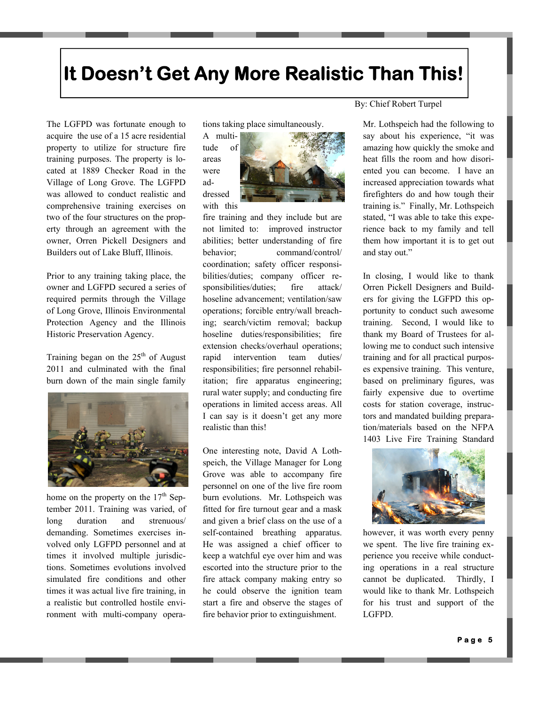## **It Doesn't Get Any More Realistic Than This!**

The LGFPD was fortunate enough to acquire the use of a 15 acre residential property to utilize for structure fire training purposes. The property is located at 1889 Checker Road in the Village of Long Grove. The LGFPD was allowed to conduct realistic and comprehensive training exercises on two of the four structures on the property through an agreement with the owner, Orren Pickell Designers and Builders out of Lake Bluff, Illinois.

Prior to any training taking place, the owner and LGFPD secured a series of required permits through the Village of Long Grove, Illinois Environmental Protection Agency and the Illinois Historic Preservation Agency.

Training began on the  $25<sup>th</sup>$  of August 2011 and culminated with the final burn down of the main single family



home on the property on the  $17<sup>th</sup>$  September 2011. Training was varied, of long duration and strenuous/ demanding. Sometimes exercises involved only LGFPD personnel and at times it involved multiple jurisdictions. Sometimes evolutions involved simulated fire conditions and other times it was actual live fire training, in a realistic but controlled hostile environment with multi-company operations taking place simultaneously.



fire training and they include but are not limited to: improved instructor abilities; better understanding of fire behavior; command/control/ coordination; safety officer responsibilities/duties; company officer responsibilities/duties; fire attack/ hoseline advancement; ventilation/saw operations; forcible entry/wall breaching; search/victim removal; backup hoseline duties/responsibilities; fire extension checks/overhaul operations; rapid intervention team duties/ responsibilities; fire personnel rehabilitation; fire apparatus engineering; rural water supply; and conducting fire operations in limited access areas. All I can say is it doesn't get any more realistic than this!

One interesting note, David A Lothspeich, the Village Manager for Long Grove was able to accompany fire personnel on one of the live fire room burn evolutions. Mr. Lothspeich was fitted for fire turnout gear and a mask and given a brief class on the use of a self-contained breathing apparatus. He was assigned a chief officer to keep a watchful eye over him and was escorted into the structure prior to the fire attack company making entry so he could observe the ignition team start a fire and observe the stages of fire behavior prior to extinguishment.

By: Chief Robert Turpel

Mr. Lothspeich had the following to say about his experience, "it was amazing how quickly the smoke and heat fills the room and how disoriented you can become. I have an increased appreciation towards what firefighters do and how tough their training is." Finally, Mr. Lothspeich stated, "I was able to take this experience back to my family and tell them how important it is to get out and stay out."

In closing, I would like to thank Orren Pickell Designers and Builders for giving the LGFPD this opportunity to conduct such awesome training. Second, I would like to thank my Board of Trustees for allowing me to conduct such intensive training and for all practical purposes expensive training. This venture, based on preliminary figures, was fairly expensive due to overtime costs for station coverage, instructors and mandated building preparation/materials based on the NFPA 1403 Live Fire Training Standard



however, it was worth every penny we spent. The live fire training experience you receive while conducting operations in a real structure cannot be duplicated. Thirdly, I would like to thank Mr. Lothspeich for his trust and support of the LGFPD.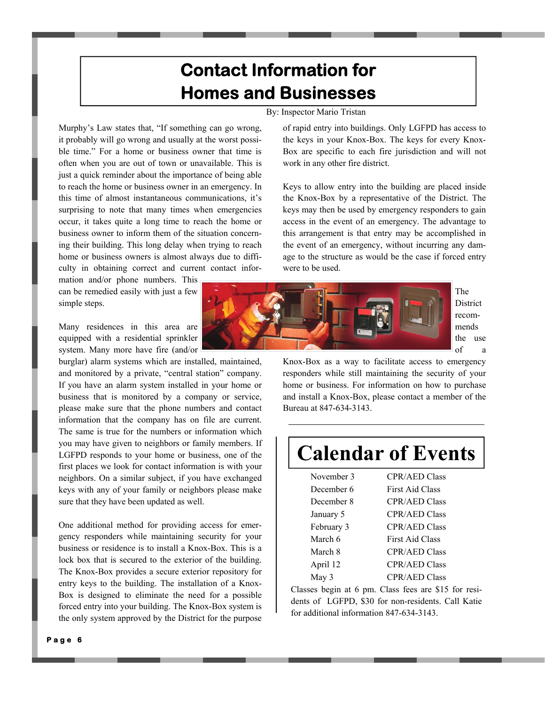### **Contact Information for Homes and Businesses**

### By: Inspector Mario Tristan

Murphy's Law states that, "If something can go wrong, it probably will go wrong and usually at the worst possible time." For a home or business owner that time is often when you are out of town or unavailable. This is just a quick reminder about the importance of being able to reach the home or business owner in an emergency. In this time of almost instantaneous communications, it's surprising to note that many times when emergencies occur, it takes quite a long time to reach the home or business owner to inform them of the situation concerning their building. This long delay when trying to reach home or business owners is almost always due to difficulty in obtaining correct and current contact infor-

mation and/or phone numbers. This can be remedied easily with just a few simple steps.

Many residences in this area are equipped with a residential sprinkler system. Many more have fire (and/or

burglar) alarm systems which are installed, maintained, and monitored by a private, "central station" company. If you have an alarm system installed in your home or business that is monitored by a company or service, please make sure that the phone numbers and contact information that the company has on file are current. The same is true for the numbers or information which you may have given to neighbors or family members. If LGFPD responds to your home or business, one of the first places we look for contact information is with your neighbors. On a similar subject, if you have exchanged keys with any of your family or neighbors please make sure that they have been updated as well.

One additional method for providing access for emergency responders while maintaining security for your business or residence is to install a Knox-Box. This is a lock box that is secured to the exterior of the building. The Knox-Box provides a secure exterior repository for entry keys to the building. The installation of a Knox-Box is designed to eliminate the need for a possible forced entry into your building. The Knox-Box system is the only system approved by the District for the purpose

of rapid entry into buildings. Only LGFPD has access to the keys in your Knox-Box. The keys for every Knox-Box are specific to each fire jurisdiction and will not work in any other fire district.

Keys to allow entry into the building are placed inside the Knox-Box by a representative of the District. The keys may then be used by emergency responders to gain access in the event of an emergency. The advantage to this arrangement is that entry may be accomplished in the event of an emergency, without incurring any damage to the structure as would be the case if forced entry were to be used.



The District recommends the use of a

Knox-Box as a way to facilitate access to emergency responders while still maintaining the security of your home or business. For information on how to purchase and install a Knox-Box, please contact a member of the Bureau at 847-634-3143.

## **Calendar of Events**

| November 3 | <b>CPR/AED Class</b>   |
|------------|------------------------|
| December 6 | <b>First Aid Class</b> |
| December 8 | <b>CPR/AED Class</b>   |
| January 5  | <b>CPR/AED Class</b>   |
| February 3 | <b>CPR/AED Class</b>   |
| March 6    | <b>First Aid Class</b> |
| March 8    | <b>CPR/AED Class</b>   |
| April 12   | <b>CPR/AED Class</b>   |
| May 3      | <b>CPR/AED Class</b>   |

Classes begin at 6 pm. Class fees are \$15 for residents of LGFPD, \$30 for non-residents. Call Katie for additional information 847-634-3143.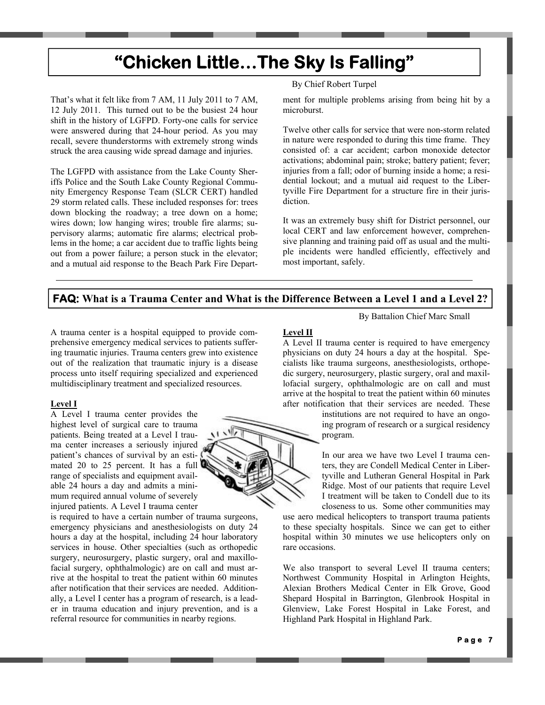## **"Chicken Little…The Sky Is Falling"**

That's what it felt like from 7 AM, 11 July 2011 to 7 AM, 12 July 2011. This turned out to be the busiest 24 hour shift in the history of LGFPD. Forty-one calls for service were answered during that 24-hour period. As you may recall, severe thunderstorms with extremely strong winds struck the area causing wide spread damage and injuries.

The LGFPD with assistance from the Lake County Sheriffs Police and the South Lake County Regional Community Emergency Response Team (SLCR CERT) handled 29 storm related calls. These included responses for: trees down blocking the roadway; a tree down on a home; wires down; low hanging wires; trouble fire alarms; supervisory alarms; automatic fire alarms; electrical problems in the home; a car accident due to traffic lights being out from a power failure; a person stuck in the elevator; and a mutual aid response to the Beach Park Fire Depart-

### By Chief Robert Turpel

ment for multiple problems arising from being hit by a microburst.

Twelve other calls for service that were non-storm related in nature were responded to during this time frame. They consisted of: a car accident; carbon monoxide detector activations; abdominal pain; stroke; battery patient; fever; injuries from a fall; odor of burning inside a home; a residential lockout; and a mutual aid request to the Libertyville Fire Department for a structure fire in their jurisdiction.

It was an extremely busy shift for District personnel, our local CERT and law enforcement however, comprehensive planning and training paid off as usual and the multiple incidents were handled efficiently, effectively and most important, safely.

### **FAQ: What is a Trauma Center and What is the Difference Between a Level 1 and a Level 2?**

A trauma center is a hospital equipped to provide comprehensive emergency medical services to patients suffering traumatic injuries. Trauma centers grew into existence out of the realization that traumatic injury is a disease process unto itself requiring specialized and experienced multidisciplinary treatment and specialized resources.

### **Level I**

A Level I trauma center provides the highest level of surgical care to trauma patients. Being treated at a Level I trauma center increases a seriously injured patient's chances of survival by an estimated 20 to 25 percent. It has a full  $\blacksquare$ range of specialists and equipment available 24 hours a day and admits a minimum required annual volume of severely injured patients. A Level I trauma center

is required to have a certain number of trauma surgeons, emergency physicians and anesthesiologists on duty 24 hours a day at the hospital, including 24 hour laboratory services in house. Other specialties (such as orthopedic surgery, neurosurgery, plastic surgery, oral and maxillofacial surgery, ophthalmologic) are on call and must arrive at the hospital to treat the patient within 60 minutes after notification that their services are needed. Additionally, a Level I center has a program of research, is a leader in trauma education and injury prevention, and is a referral resource for communities in nearby regions.

### **Level II**

A Level II trauma center is required to have emergency physicians on duty 24 hours a day at the hospital. Specialists like trauma surgeons, anesthesiologists, orthopedic surgery, neurosurgery, plastic surgery, oral and maxillofacial surgery, ophthalmologic are on call and must arrive at the hospital to treat the patient within 60 minutes after notification that their services are needed. These

> institutions are not required to have an ongoing program of research or a surgical residency program.

By Battalion Chief Marc Small

In our area we have two Level I trauma centers, they are Condell Medical Center in Libertyville and Lutheran General Hospital in Park Ridge. Most of our patients that require Level I treatment will be taken to Condell due to its closeness to us. Some other communities may

use aero medical helicopters to transport trauma patients to these specialty hospitals. Since we can get to either hospital within 30 minutes we use helicopters only on rare occasions.

We also transport to several Level II trauma centers; Northwest Community Hospital in Arlington Heights, Alexian Brothers Medical Center in Elk Grove, Good Shepard Hospital in Barrington, Glenbrook Hospital in Glenview, Lake Forest Hospital in Lake Forest, and Highland Park Hospital in Highland Park.